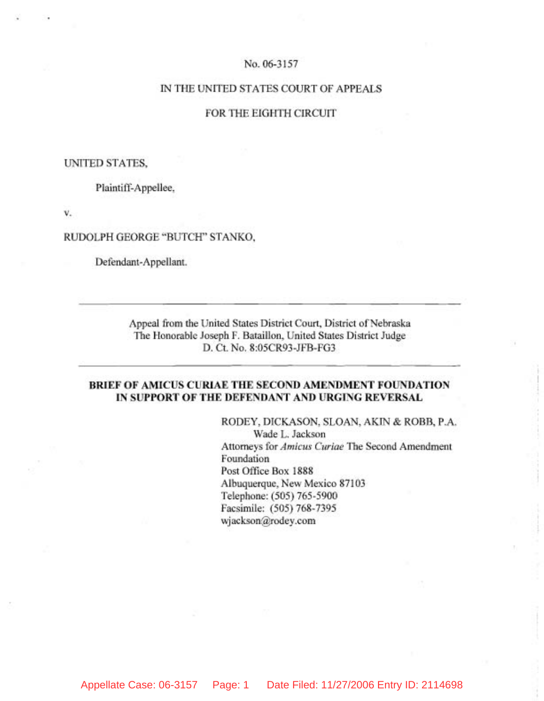## No. 06-3157

## IN THE UNITED STATES COURT OF APPEALS

## FOR THE EIGHTH CIRCUIT

## UNITED STATES,

Plaintiff-Appellee,

**v.** 

### RUDOLPH GEORGE "BUTCH" STANKO,

Defendant-Appellant.

Appeal from the United States District Court, District of Nebraska The Honorable Joseph F. Bataillon, United States District Judge D. Ct. NO. 8:05CR93-JFB-FG3

# **BRIEF OF AMICUS CURIAE THE SECOND AMENDMENT FOUNDATION IN SUPPORT OF THE DEFENDANT AND URGING REVERSAL**

RODEY, DICKASON, SLOAN, AKIN & ROBB, P.A. Wade L. Jackson Attorneys for *Amicus* Curiae The Second Amendment Foundation Post Office Box 1888 Albuquerque, New Mexico 87103 Telephone: (505) 765-5900 Facsimile: (505) 768-7395 wjackson@rodey.com

Appellate Case: 06-3157 Page: 1 Date Filed: 11/27/2006 Entry ID: 2114698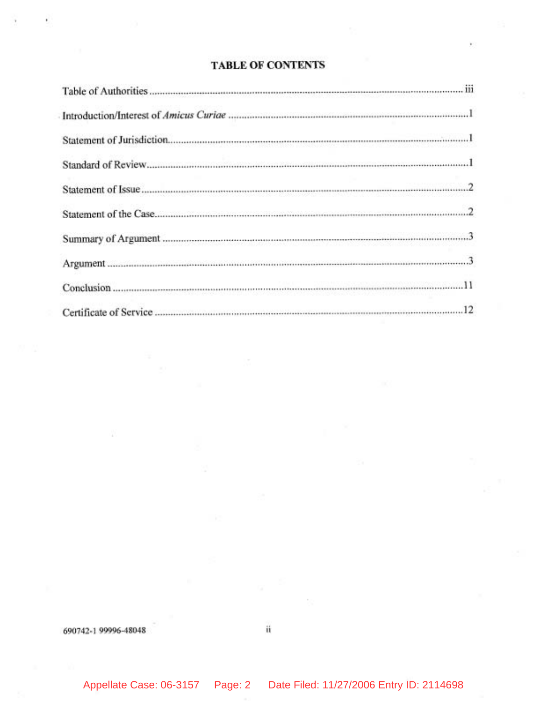# **TABLE OF CONTENTS**

| $\begin{minipage}{0.9\linewidth} \textbf{Summary of Argument} \end{minipage} \vspace{-0.5mm} \begin{minipage}{0.9\linewidth} \textbf{Summary of Argument} \end{minipage} \vspace{-0.5mm} \begin{minipage}{0.9\linewidth} \textbf{Summary of Argument} \end{minipage} \vspace{-0.5mm} \begin{minipage}{0.9\linewidth} \textbf{Argument} \end{minipage} \vspace{-0.5mm} \begin{minipage}{0.9\linewidth} \textbf{Argument} \end{minipage} \vspace{-0.5mm} \begin{minipage}{0.9\linewidth} \textbf{Argument} \end{minipage} \vspace{-0.5mm} \begin{min$ |
|-----------------------------------------------------------------------------------------------------------------------------------------------------------------------------------------------------------------------------------------------------------------------------------------------------------------------------------------------------------------------------------------------------------------------------------------------------------------------------------------------------------------------------------------------------|
|                                                                                                                                                                                                                                                                                                                                                                                                                                                                                                                                                     |
|                                                                                                                                                                                                                                                                                                                                                                                                                                                                                                                                                     |
|                                                                                                                                                                                                                                                                                                                                                                                                                                                                                                                                                     |

690742-1 99996-48048

Appellate Case: 06-3157 Page: 2 Date Filed: 11/27/2006 Entry ID: 2114698

ü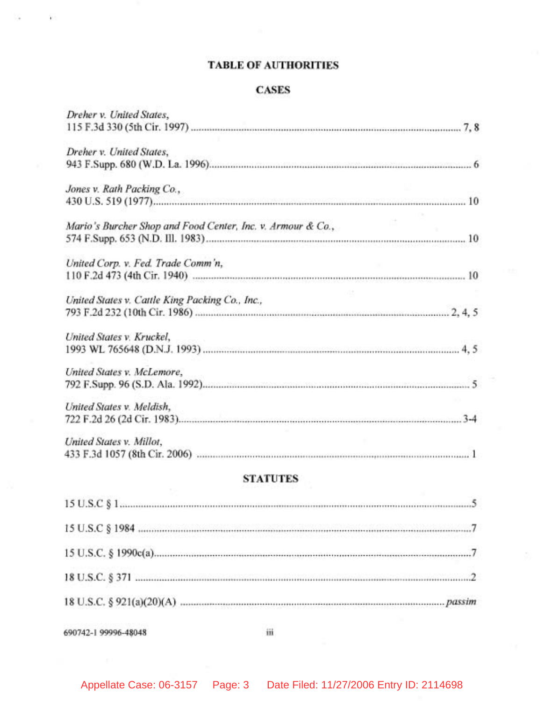# **TABLE OF AUTHORITIES**

# **CASES**

| Dreher v. United States,                                    |  |
|-------------------------------------------------------------|--|
|                                                             |  |
| Dreher v. United States,                                    |  |
|                                                             |  |
| Jones v. Rath Packing Co.,                                  |  |
|                                                             |  |
| Mario's Burcher Shop and Food Center, Inc. v. Armour & Co., |  |
|                                                             |  |
| United Corp. v. Fed. Trade Comm'n,                          |  |
|                                                             |  |
| United States v. Cattle King Packing Co., Inc.,             |  |
|                                                             |  |
| United States v. Kruckel,                                   |  |
|                                                             |  |
| United States v. McLemore,                                  |  |
|                                                             |  |
| United States v. Meldish.                                   |  |
|                                                             |  |
| United States v. Millot,                                    |  |
|                                                             |  |

# **STATUTES**

690742-1 99996-48048

Ÿ.

iii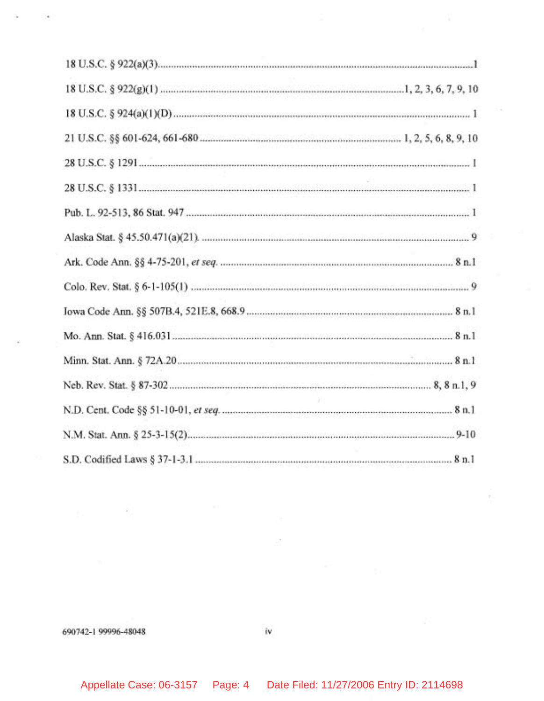690742-1 99996-48048

 $\sim$ 

îv

 $\frac{1}{2} \sum_{i=1}^n \frac{1}{2} \left( \frac{1}{2} \right)$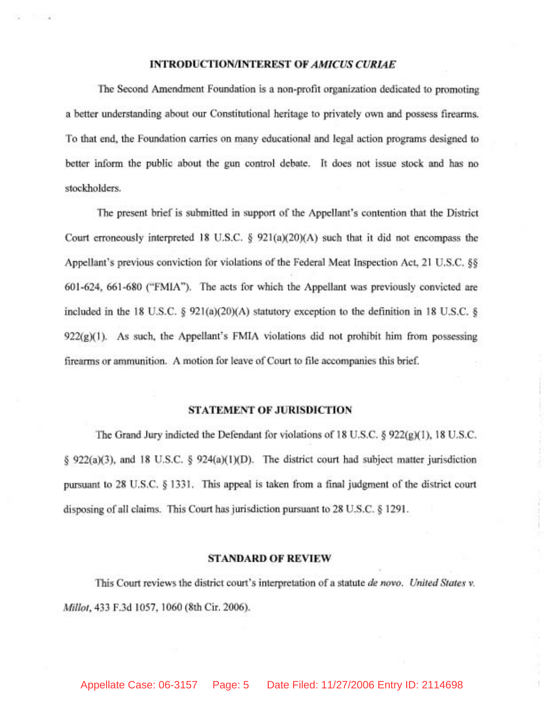#### **INTRODUCTION/INTEREST OF AMICUS CURL4E**

The Second Amendment Foundation is a non-profit organization dedicated to promoting a better understanding about our Constitutional heritage to privately own and possess firearms. To that end, the Foundation carries on many educational and legal action programs designed to better inform the public about the gun control debate. It does not issue stock and has no stockholders.

The present brief is submitted in support of the Appellant's contention that the District Court erroneously interpreted 18 U.S.C. *5* 921(a)(20)(A) such that it did not encompass the Appellant's previous conviction for violations of the Federal Meat Inspection Act. 21 U.S.C. *85*  601-624, 661-680 ("FMIA"). The acts for which the Appellant was previously convicted are included in the 18 U.S.C. *5* 921(a)(20)(A) statutory exception to the definition in 18 U.S.C. *fj*   $922(g)(1)$ . As such, the Appellant's FMIA violations did not prohibit him from possessing firearms or ammunition. A motion for leave of Court to file accompanies this brief.

#### **STATEMENT OF JURISDICTION**

The Grand Jury indicted the Defendant for violations of 18 U.S.C. *8* 922(g)(l), 18 U.S.C. *5* 922(a)(3), and 18 U.S.C. *5* 924(a)(l)(D). The district court had subject matter jurisdiction pursuant to 28 U.S.C. *5* 1331. This appeal is taken from a final judgment of the district court disposing of all claims. This Court has jurisdiction pursuant to 28 U.S.C. *5* 1291.

#### **STANDARD OF REVIEW**

This Court reviews the district court's interpretation of a statute de novo. United States v. Millot, 433 F.3d 1057, 1060 (8th Cir. 2006).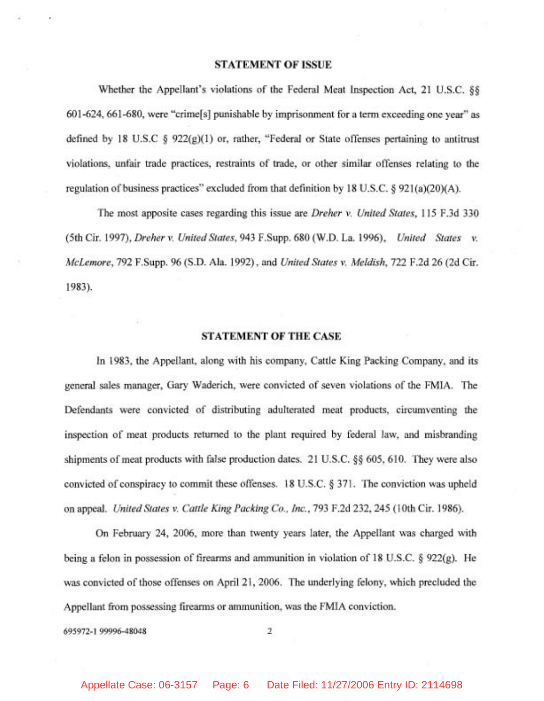#### **STATEMENT OF ISSUE**

Whether the Appellant's violations of the Federal Meat Inspection Act, 21 U.S.C. *\$5*  601 -624,661 -680, were "crime[s] punishable by imprisonment for a term exceeding one year" as defined by 18 U.S.C **9** 922(g)(l) or, rather, "Federal or State offenses pertaining to antitrust violations, unfair trade practices, restraints of trade, or other similar offenses relating to the regulation of business practices" excluded from that definition by 18 U.S.C. **9** 921 (a)(20)(A).

The most apposite cases regarding this issue are Dreher v. United States, 115 F.3d 330 (5th Cir. 1997), Dreher v. United States, 943 F.Supp. 680 (W.D. La. 1996), United States v. McLemore, 792 F.Supp. 96 (S.D. Ala. 1992), and United States v. Meldish, 722 F.2d 26 (2d Cir. 1983).

#### **STATEMENT OF THE CASE**

In 1983, the Appellant, along with his company, Cattle King Packing Company, and its general sales manager, Gary Waderich, were convicted of seven violations of the FMIA. The Defendants were convicted of distributing adulterated meat products, circumventing the inspection of meat products returned to the plant required by federal law, and misbranding shipments of meat products with false production dates. 21 U.S.C. **\$9** 605, 610. They were also convicted of conspiracy to commit these offenses. 18 U.S.C. \$ 371. The conviction was upheld on appeal. United States v. Cattle King Packing Co., Inc., 793 F.2d 232, 245 (10th Cir. 1986).

On February 24, 2006, more than twenty years later, the Appellant was charged with being a felon in possession of firearms and ammunition in violation of 18 U.S.C. **5** 922(g). He was convicted of those offenses on April 21, 2006. The underlying felony, which precluded the Appellant from possessing firearms or ammunition, was the FMIA conviction.

695972-1 99996-48048 2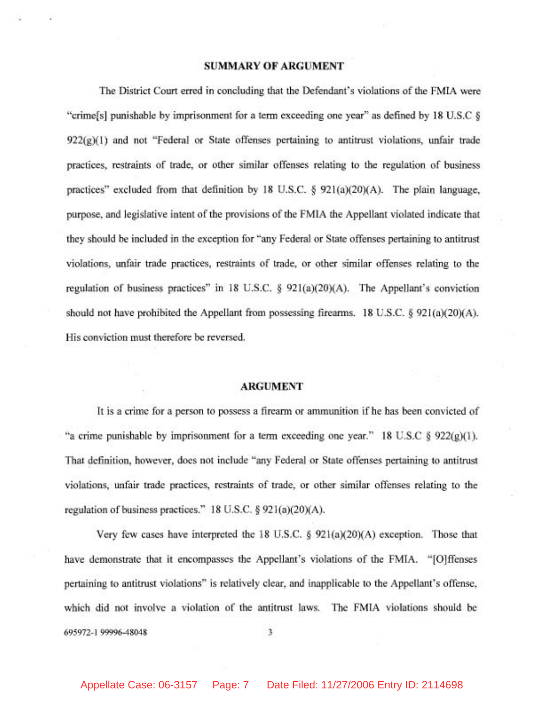#### **SUMMARY OF ARGUMENT**

The District Court erred in concluding that the Defendant's violations of the FMIA were "crime[s] punishable by imprisonment for a term exceeding one year" as defined by 18 U.S.C *5*   $922(g)(1)$  and not "Federal or State offenses pertaining to antitrust violations, unfair trade practices, restraints of trade, or other similar offenses relating to the regulation of business practices" excluded from that definition by 18 U.S.C. *5* 921(a)(20)(A). The plain language, purpose, and legislative intent of the provisions of the FMIA the Appellant violated indicate that they should be included in the exception for "any Federal or State offenses pertaining to antitrust violations, unfair trade practices, restraints of trade, or other similar offenses relating to the regulation of business practices" in 18 U.S.C.  $\frac{6}{921(a)(20)(A)}$ . The Appellant's conviction should not have prohibited the Appellant from possessing firearms. 18 U.S.C.  $\S$  921(a)(20)(A). His conviction must therefore be reversed.

#### **ARGUMENT**

It is a crime for a person to possess a firearm or ammunition if he has been convicted of "a crime punishable by imprisonment for a term exceeding one year." 18 U.S.C  $\S$  922(g)(1). That definition, however, does not include "any Federal or State offenses pertaining to antitrust violations, unfair trade practices, restraints of trade, or other similar offenses relating to the regulation of business practices." 18 U.S.C. § 921(a)(20)(A).

Very few cases have interpreted the 18 U.S.C. *5* 921(a)(20)(A) exception. Those that have demonstrate that it encompasses the Appellant's violations of the FMIA. "[O]ffenses pertaining to antitrust violations" is relatively clear, and inapplicable to the Appellant's offense, which did not involve a violation of the antitrust laws. The FMIA violations should be **695972-1 99996-48048 3**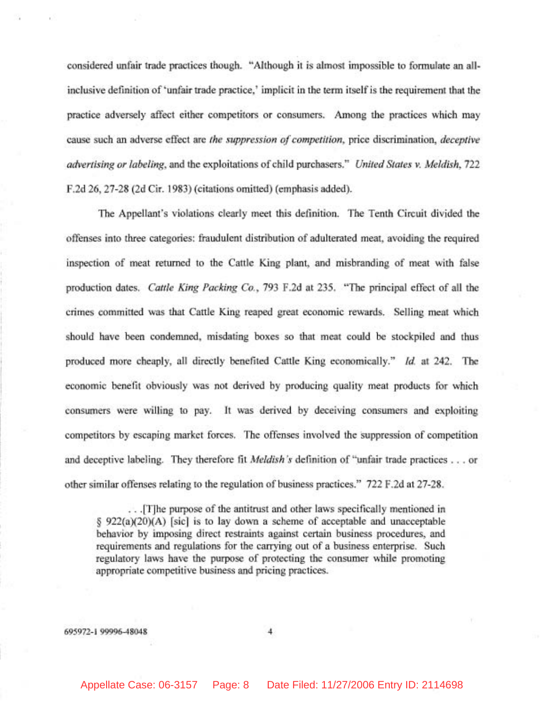considered unfair trade practices though. "Although it is almost impossible to formulate an allinclusive definition of 'unfair trade practice,' implicit in the term itself is the requirement that the practice adversely affect either competitors or consumers. Among the practices which may cause such an adverse effect are the suppression of competition, price discrimination, deceptive advertising or labeling, and the exploitations of child purchasers." United States v. Meldish, 722 F.2d 26, 27-28 (2d Cir. 1983) (citations omitted) (emphasis added).

The Appellant's violations clearly meet this definition. The Tenth Circuit divided the offenses into three categories: fraudulent distribution of adulterated meat, avoiding the required inspection of meat returned to the Cattle King plant, and misbranding of meat with false production dates. Cattle King Packing Co., 793 F.2d at 235. "The principal effect of all the crimes committed was that Cattle King reaped great economic rewards. Selling meat which should have been condemned, misdating boxes so that meat could be stockpiled and thus produced more cheaply, all directly benefited Cattle King economically." *Id.* at 242. The economic benefit obviously was not derived by producing quality meat products for which consumers were willing to pay. It was derived by deceiving consumers and exploiting competitors by escaping market forces. The offenses involved the suppression of competition and deceptive labeling. They therefore fit *Meldish's* definition of "unfair trade practices . . . or other similar offenses relating to the regulation of business practices." 722 F.2d at 27-28.

. . .[T]he purpose of the antitrust and other laws specifically mentioned in *5* 922(a)(20)(A) [sic] is to lay down a scheme of acceptable and unacceptable behavior by imposing direct restraints against certain business procedures, and requirements and regulations for the carrying out of a business enterprise. Such regulatory laws have the purpose of protecting the consumer while promoting appropriate competitive business and pricing practices.

695972-1 99996-48048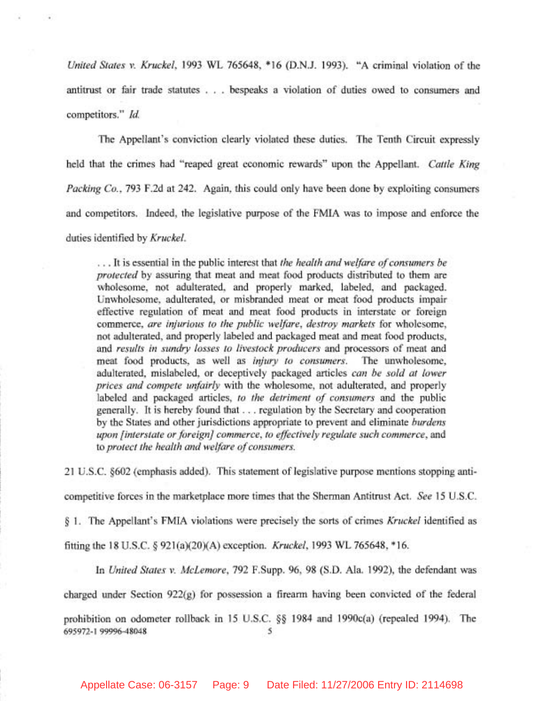*United States v. Kruckel,* 1993 **WL** 765648, \* 16 (D.N.J. 1993). "A criminal violation of the antitrust or fair trade statutes . . . bespeaks a violation of duties owed to consumers and competitors." *Id.* 

The Appellant's conviction clearly violated these duties. The Tenth Circuit expressly held that the crimes had "reaped great economic rewards" upon the Appellant. *Cattle King Packing Co.,* 793 F.2d at 242. Again, this could only have been done by exploiting consumers and competitors. Indeed, the legislative purpose of the FMIA was to impose and enforce the duties identified by *Kruckel.* 

. . . It is essential in the public interest that *the health and welfare of consumers be protected* by assuring that meat and meat food products distributed to them are wholesome, not adulterated, and properly marked, labeled, and packaged. Unwholesome, adulterated, or misbranded meat or meat food products impair effective regulation of meat and meat food products in interstate or foreign commerce, *are injurious to the public welfare, destroy markets* for wholesome, not adulterated, and properly labeled and packaged meat and meat food products, and *results in sundry losses to livestock producers* and processors of meat and meat food products, as well as *injury to consumers.* The unwholesome, adulterated, mislabeled, or deceptively packaged articles *can be sold at Iower prices and compete unfairly* with the wholesome, not adulterated, and properly labeled and packaged articles, *to the detriment of consumers* and the public generally. It is hereby found that . . . regulation by the Secretary and cooperation by the States and other jurisdictions appropriate to prevent and eliminate *burdens upon (interstate or foreign] commerce, to effectively regulate such commerce,* and to *protect the health and welfare of consumers.* 

21 U.S.C. \$602 (emphasis added). This statement of legislative purpose mentions stopping anti-

competitive forces in the marketplace more times that the Sherman Antitrust Act. *See* 15 U.S.C.

*5* 1. The Appellant's FMIA violations were precisely the sorts of crimes *Kruckel* identified as

fitting the 18 U.S.C. **8** 921(a)(20)(A) exception. *Kruckel,* 1993 **WL** 765648, \* 16.

In *United States v. McLemore,* 792 F.Supp. 96, 98 (S.D. Ala. 1992), the defendant was

charged under Section 922(g) for possession a firearm having been convicted of the federal

prohibition on odometer rollback in 15 U.S.C. **\$6** 1984 and 1990c(a) (repealed 1994). The **695972-1 99996-48048 5**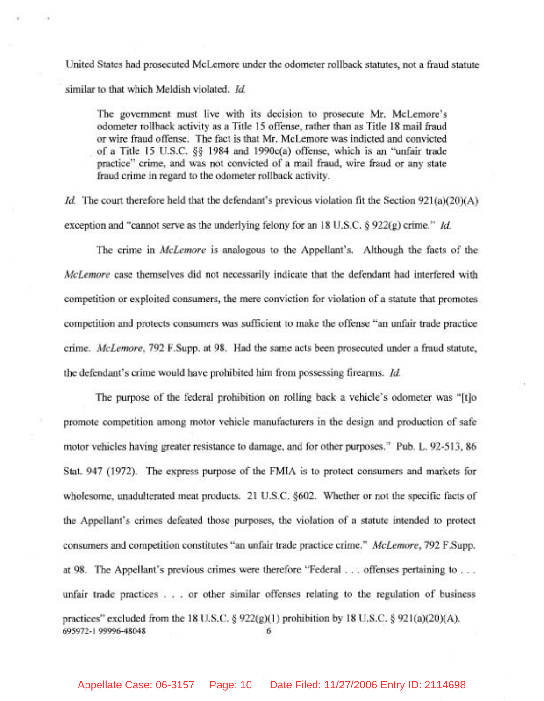United States had prosecuted McLemore under the odometer rollback statutes, not a fraud statute similar to that which Meldish violated. *Id.* 

The government must live with its decision to prosecute Mr. McLemore's odometer rollback activity as a Title 15 offense, rather than as Title 18 mail fraud or wire fraud offense. The fact is that Mr. McLemore was indicted and convicted of a Title 15 U.S.C. **\$9** 1984 and 1990c(a) offense, which is an "unfair trade practice" crime, and was not convicted of a mail fraud, wire fraud or any state fraud crime in regard to the odometer rollback activity.

*Id.* The court therefore held that the defendant's previous violation fit the Section 921(a)(20)(A) exception and "cannot serve as the underlying felony for an 18 U.S.C. \$ 922(g) crime." *Id.* 

The crime in McLemore is analogous to the Appellant's. Although the facts of the McLemore case themselves did not necessarily indicate that the defendant had interfered with competition or exploited consumers, the mere conviction for violation of a statute that promotes competition and protects consumers was sufficient to make the offense "an unfair trade practice crime. McLemore, 792 F.Supp. at 98. Had the same acts been prosecuted under a fraud statute, the defendant's crime would have prohibited him from possessing firearms. *Id.* 

The purpose of the federal prohibition on rolling back a vehicle's odometer was "[tlo promote competition among motor vehicle manufacturers in the design and production of safe motor vehicles having greater resistance to damage, and for other purposes." Pub. L. 92-5 13, 86 Stat. 947 (1972). The express purpose of the FMIA is to protect consumers and markets for wholesome, unadulterated meat products. 21 U.S.C. §602. Whether or not the specific facts of the Appellant's crimes defeated those purposes, the violation of a statute intended to protect consumers and competition constitutes "an unfair trade practice crime." McLemore, 792 F.Supp. at 98. The Appellant's previous crimes were therefore "Federal . . . offenses pertaining to . . . unfair trade practices . . . or other similar offenses relating to the regulation of business practices" excluded from the 18 U.S.C.  $\S$  922(g)(1) prohibition by 18 U.S.C.  $\S$  921(a)(20)(A). **695972-1 99996-48048 6** 

Appellate Case: 06-3157 Page: 10 Date Filed: 11/27/2006 Entry ID: 2114698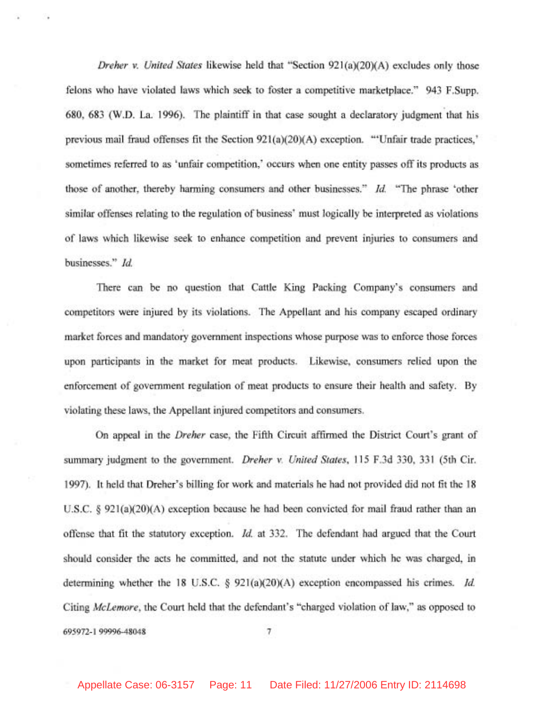Dreher v. United States likewise held that "Section 921(a)(20)(A) excludes only those felons who have violated laws which seek to foster a competitive marketplace." 943 F.Supp. 680, 683 (W.D. La. 1996). The plaintiff in that case sought a declaratory judgment that his previous mail fraud offenses fit the Section 921(a)(20)(A) exception. '"Unfair trade practices,' sometimes referred to as 'unfair competition,' occurs when one entity passes off its products as those of another, thereby harming consumers and other businesses." Id. "The phrase 'other similar offenses relating to the regulation of business' must logically be interpreted as violations of laws which likewise seek to enhance competition and prevent injuries to consumers and businesses." Id.

There can be no question that Cattle King Packing Company's consumers and competitors were injured by its violations. The Appellant and his company escaped ordinary market forces and mandatory government inspections whose purpose was to enforce those forces upon participants in the market for meat products. Likewise, consumers relied upon the enforcement of government regulation of meat products to ensure their health and safety. By violating these laws, the Appellant injured competitors and consumers.

On appeal in the Dreher case, the Fifth Circuit affirmed the District Court's grant of summary judgment to the government. *Dreher v. United States*, 115 F.3d 330, 331 (5th Cir. 1997). It held that Dreher's billing for work and materials he had not provided did not fit the 18 U.S.C. *5* 921(a)(20)(A) exception because he had been convicted for mail fraud rather than an offense that fit the statutory exception. Id. at 332. The defendant had argued that the Court should consider the acts he committed, and not the statute under which he was charged, in determining whether the 18 U.S.C. § 921(a)(20)(A) exception encompassed his crimes. *Id.* Citing McLemore, the Court held that the defendant's "charged violation of law," as opposed to 695972- 1 99996-48048 7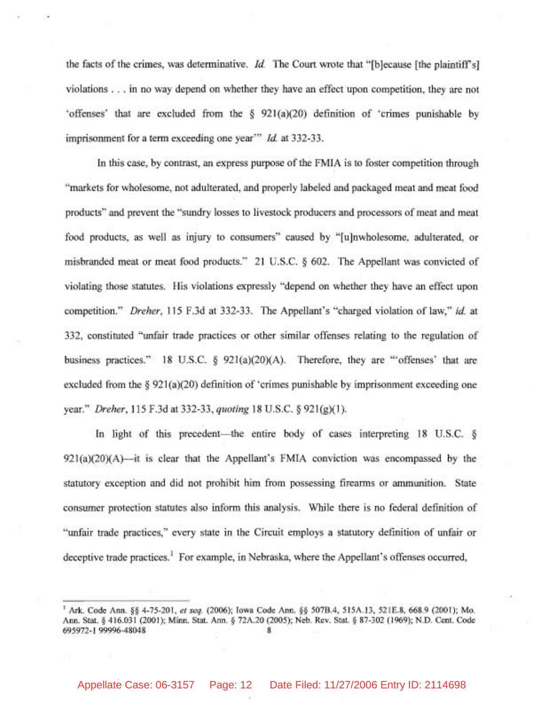the facts of the crimes, was determinative. *Id.* The Court wrote that "[b]ecause [the plaintiffs] violations . . . in no way depend on whether they have an effect upon competition, they are not 'offenses' that are excluded from the **5** 921(a)(20) definition of 'crimes punishable by imprisonment for a term exceeding one year"' *Id.* at 332-33.

In this case, by contrast, an express purpose of the FMIA is to foster competition through "markets for wholesome, not adulterated, and properly labeled and packaged meat and meat food products" and prevent the "sundry losses to livestock producers and processors of meat and meat food products, as well as injury to consumers" caused by "[u]nwholesome, adulterated, or misbranded meat or meat food products." 21 U.S.C. **5** 602. The Appellant was convicted of violating those statutes. His violations expressly "depend on whether they have an effect upon competition." Dreher, 115 F.3d at 332-33. The Appellant's "charged violation of law," **id.** at 332, constituted "unfair trade practices or other similar offenses relating to the regulation of business practices." 18 U.S.C. § 921(a)(20)(A). Therefore, they are "'offenses' that are excluded from the § 921(a)(20) definition of 'crimes punishable by imprisonment exceeding one year." Dreher, 115 F.3d at 332-33, quoting 18 U.S.C. **5** 921(g)(l).

In light of this precedent—the entire body of cases interpreting 18 U.S.C. §  $921(a)(20)(A)$ -it is clear that the Appellant's FMIA conviction was encompassed by the statutory exception and did not prohibit him from possessing firearms or ammunition. State consumer protection statutes also inform this analysis. While there is no federal definition of "unfair trade practices," every state in the Circuit employs a statutory definition of unfair or deceptive trade practices.<sup>1</sup> For example, in Nebraska, where the Appellant's offenses occurred,

**<sup>I</sup>**Ark. Code Ann. *\$5* 4-75-201, *et seq.* (2006); Iowa Code Ann. *\$5* 507B.4, 515A.13, 521E.8, 668.9 (2001); Mo. Ann. Stat. **tj** 416.031 (2001); Minn. Stat. Ann. \$ 72A.20 (2005); Neb. Rev. Stat. **tj** 87-302 (1969); N.D. Cent. Code 695972-1 99996-48048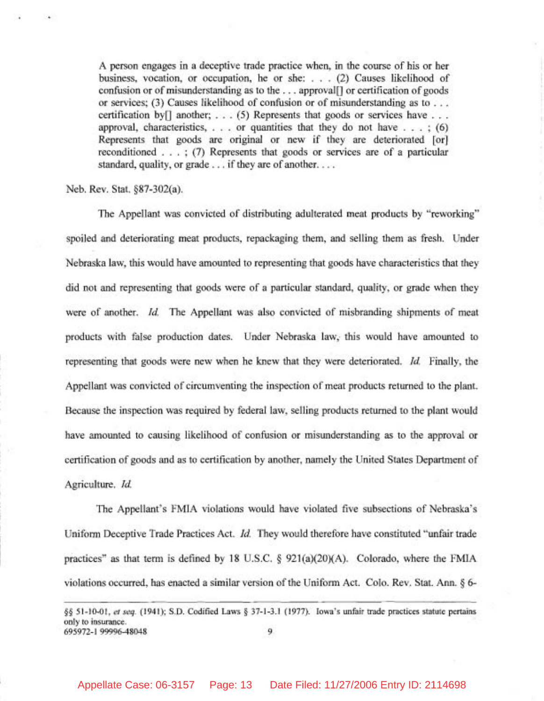A person engages in a deceptive trade practice when, in the course of his or her business, vocation, or occupation, he or she: . . . (2) Causes likelihood of confusion or of misunderstanding as to the . . . approval[] or certification of goods or services; (3) Causes likelihood of confusion or of misunderstanding as to . . . certification by  $[]$  another; . . . (5) Represents that goods or services have . . . approval, characteristics,  $\ldots$  or quantities that they do not have  $\ldots$ ; (6) Represents that goods are original or new if they are deteriorated [or] reconditioned . . . ; (7) Represents that goods or services are of a particular standard, quality, or grade . . . if they are of another. . . .

Neb. Rev. Stat. \$87-302(a).

The Appellant was convicted of distributing adulterated meat products by "reworking" spoiled and deteriorating meat products, repackaging them, and selling them as fresh. Under Nebraska law, this would have amounted to representing that goods have characteristics that they did not and representing that goods were of a particular standard, quality, or grade when they were of another. *Id.* The Appellant was also convicted of misbranding shipments of meat products with false production dates. Under Nebraska law, this would have amounted to representing that goods were new when he knew that they were deteriorated. Id. Finally, the Appellant was convicted of circumventing the inspection of meat products returned to the plant. Because the inspection was required by federal law, selling products returned to the plant would have amounted to causing likelihood of confusion or misunderstanding as to the approval or certification of goods and as to certification by another, namely the United States Department of Agriculture. *Id.* 

The Appellant's FMIA violations would have violated five subsections of Nebraska's Uniform Deceptive Trade Practices Act. *Id.* They would therefore have constituted "unfair trade" practices" as that term is defined by 18 U.S.C. \$ 921(a)(20)(A). Colorado, where the FMIA violations occurred, has enacted a similar version of the Uniform Act. Colo. Rev. Stat. Ann. **9** 6-

<sup>§§ 51-10-01,</sup> *et seq.* (1941); S.D. Codified Laws § 37-1-3.1 (1977). Iowa's unfair trade practices statute pertains onIy to insurance. 695972-1 99996-48048 9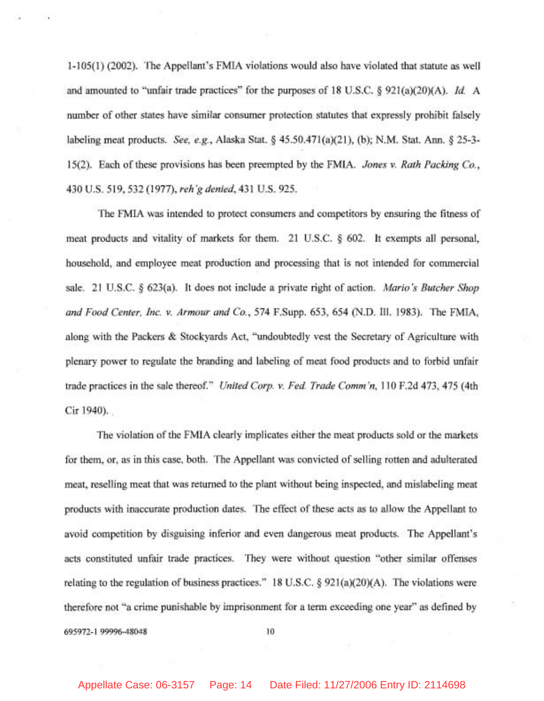1-105(1) (2002). The Appellant's FMIA violations would also have violated that statute as well and amounted to "unfair trade practices" for the purposes of 18 U.S.C. § 921(a)(20)(A). *Id.* A number of other states have similar consumer protection statutes that expressly prohibit falsely labeling meat products. See, e.g., Alaska Stat. *5* 45.50.471 (a)(21), (b); N.M. Stat. Ann. *5* 25-3- 15(2). Each of these provisions has been preempted by the FMIA. Jones v. Rath Packing Co., 430 U.S. 519, 532 (1977), reh'g denied, 431 U.S. 925.

The FMIA was intended to protect consumers and competitors by ensuring the fitness of meat products and vitality of markets for them. 21 U.S.C. *5* 602. It exempts all personal, household, and employee meat production and processing that is not intended for commercial sale. 21 U.S.C. *5* 623(a). It does not include a private right of action. Mario's Butcher Shop and Food Center, Inc. v. Armour and Co., 574 F.Supp. 653, 654 (N.D. Ill. 1983). The FMIA, along with the Packers & Stockyards Act, "undoubtedly vest the Secretary of Agriculture with plenary power to regulate the branding and labeling of meat food products and to forbid unfair trade practices in the sale thereof." United Corp. v. Fed. Trade Comm'n, 110 F.2d 473, 475 (4th Cir 1940).

The violation of the FMIA clearly implicates either the meat products sold or the markets for them, or, as in this case, both. The Appellant was convicted of selling rotten and adulterated meat, reselling meat that was returned to the plant without being inspected, and mislabeling meat products with inaccurate production dates. The effect of these acts as to allow the Appellant to avoid competition by disguising inferior and even dangerous meat products. The Appellant's acts constituted unfair trade practices. They were without question "other similar offenses relating to the regulation of business practices." 18 U.S.C. § 921(a)(20)(A). The violations were therefore not "a crime punishable by imprisonment for a term exceeding one year" as defined by 695972-1 99996-48048 10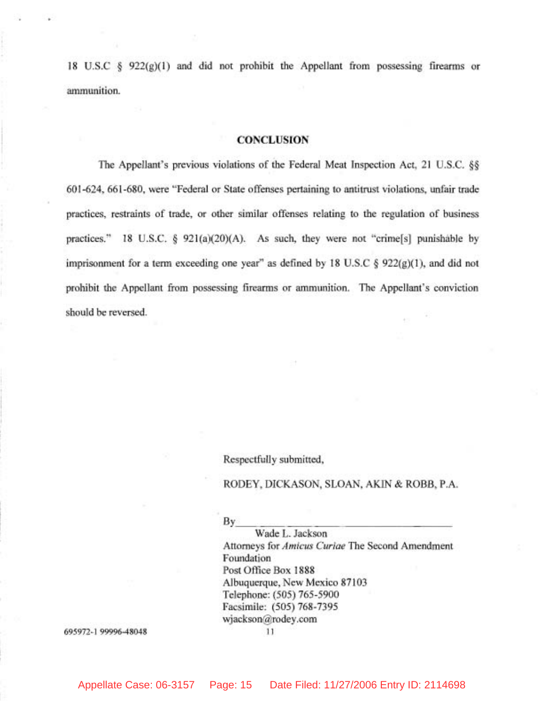18 U.S.C  $\frac{1}{2}$  922(g)(1) and did not prohibit the Appellant from possessing firearms or ammunition.

#### **CONCLUSION**

The Appellant's previous violations of the Federal Meat Inspection Act, 21 U.S.C. *\$5*  601-624, 661-680, were "Federal or State offenses pertaining to antitrust violations, unfair trade practices, restraints of trade, or other similar offenses relating to the regulation of business practices." 18 U.S.C.  $\S$  921(a)(20)(A). As such, they were not "crime[s] punishable by imprisonment for a term exceeding one year" as defined by 18 U.S.C  $\S$  922(g)(1), and did not prohibit the Appellant from possessing firearms or ammunition. The Appellant's conviction should be reversed.

Respectfully submitted,

#### RODEY, DICKASON, SLOAN, AKIN & ROBB, P.A.

Respectfully submitted,<br>RODEY, DICKASON, SLOAN, A<br>By Wade L. Jackson<br>Attorneys for *Amicus Curiae* The S Wade L. Jackson Attorneys for **Amicus** Curiae The Second Amendment Foundation Post Ofice Box 1888 Albuquerque, New Mexico 87103 Telephone: (505) 765-5900 Facsimile: (505) 768-7395 wjackson@rodey.com

695972-1 99996-48048

11